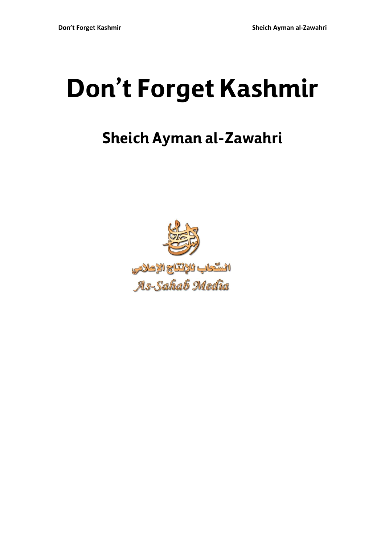## **Don't Forget Kashmir**

## **Sheich Ayman al-Zawahri**

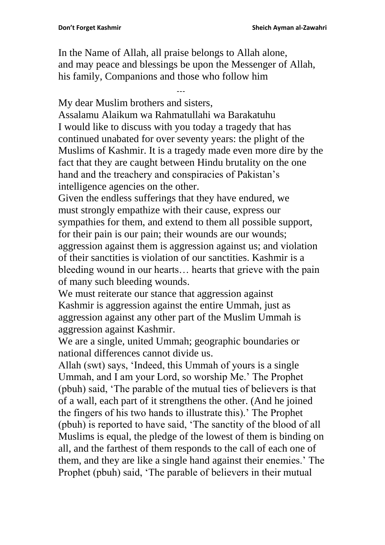In the Name of Allah, all praise belongs to Allah alone, and may peace and blessings be upon the Messenger of Allah, his family, Companions and those who follow him

---

My dear Muslim brothers and sisters,

Assalamu Alaikum wa Rahmatullahi wa Barakatuhu I would like to discuss with you today a tragedy that has continued unabated for over seventy years: the plight of the Muslims of Kashmir. It is a tragedy made even more dire by the fact that they are caught between Hindu brutality on the one hand and the treachery and conspiracies of Pakistan's intelligence agencies on the other.

Given the endless sufferings that they have endured, we must strongly empathize with their cause, express our sympathies for them, and extend to them all possible support, for their pain is our pain; their wounds are our wounds; aggression against them is aggression against us; and violation of their sanctities is violation of our sanctities. Kashmir is a bleeding wound in our hearts… hearts that grieve with the pain of many such bleeding wounds.

We must reiterate our stance that aggression against Kashmir is aggression against the entire Ummah, just as aggression against any other part of the Muslim Ummah is aggression against Kashmir.

We are a single, united Ummah; geographic boundaries or national differences cannot divide us.

Allah (swt) says, 'Indeed, this Ummah of yours is a single Ummah, and I am your Lord, so worship Me.' The Prophet (pbuh) said, 'The parable of the mutual ties of believers is that of a wall, each part of it strengthens the other. (And he joined the fingers of his two hands to illustrate this).' The Prophet (pbuh) is reported to have said, 'The sanctity of the blood of all Muslims is equal, the pledge of the lowest of them is binding on all, and the farthest of them responds to the call of each one of them, and they are like a single hand against their enemies.' The Prophet (pbuh) said, 'The parable of believers in their mutual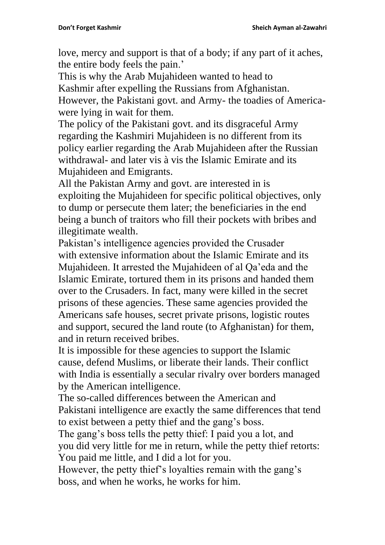love, mercy and support is that of a body; if any part of it aches, the entire body feels the pain.'

This is why the Arab Mujahideen wanted to head to Kashmir after expelling the Russians from Afghanistan. However, the Pakistani govt. and Army- the toadies of Americawere lying in wait for them.

The policy of the Pakistani govt. and its disgraceful Army regarding the Kashmiri Mujahideen is no different from its policy earlier regarding the Arab Mujahideen after the Russian withdrawal- and later vis à vis the Islamic Emirate and its Mujahideen and Emigrants.

All the Pakistan Army and govt. are interested in is exploiting the Mujahideen for specific political objectives, only to dump or persecute them later; the beneficiaries in the end being a bunch of traitors who fill their pockets with bribes and illegitimate wealth.

Pakistan's intelligence agencies provided the Crusader with extensive information about the Islamic Emirate and its Mujahideen. It arrested the Mujahideen of al Qa'eda and the Islamic Emirate, tortured them in its prisons and handed them over to the Crusaders. In fact, many were killed in the secret prisons of these agencies. These same agencies provided the Americans safe houses, secret private prisons, logistic routes and support, secured the land route (to Afghanistan) for them, and in return received bribes.

It is impossible for these agencies to support the Islamic cause, defend Muslims, or liberate their lands. Their conflict with India is essentially a secular rivalry over borders managed by the American intelligence.

The so-called differences between the American and Pakistani intelligence are exactly the same differences that tend to exist between a petty thief and the gang's boss.

The gang's boss tells the petty thief: I paid you a lot, and you did very little for me in return, while the petty thief retorts: You paid me little, and I did a lot for you.

However, the petty thief's loyalties remain with the gang's boss, and when he works, he works for him.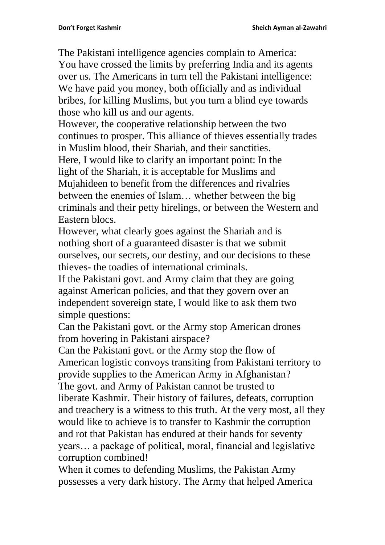The Pakistani intelligence agencies complain to America: You have crossed the limits by preferring India and its agents over us. The Americans in turn tell the Pakistani intelligence: We have paid you money, both officially and as individual bribes, for killing Muslims, but you turn a blind eye towards those who kill us and our agents.

However, the cooperative relationship between the two continues to prosper. This alliance of thieves essentially trades in Muslim blood, their Shariah, and their sanctities. Here, I would like to clarify an important point: In the light of the Shariah, it is acceptable for Muslims and Mujahideen to benefit from the differences and rivalries between the enemies of Islam… whether between the big criminals and their petty hirelings, or between the Western and Eastern blocs.

However, what clearly goes against the Shariah and is nothing short of a guaranteed disaster is that we submit ourselves, our secrets, our destiny, and our decisions to these thieves- the toadies of international criminals.

If the Pakistani govt. and Army claim that they are going against American policies, and that they govern over an independent sovereign state, I would like to ask them two simple questions:

Can the Pakistani govt. or the Army stop American drones from hovering in Pakistani airspace?

Can the Pakistani govt. or the Army stop the flow of American logistic convoys transiting from Pakistani territory to provide supplies to the American Army in Afghanistan? The govt. and Army of Pakistan cannot be trusted to liberate Kashmir. Their history of failures, defeats, corruption and treachery is a witness to this truth. At the very most, all they would like to achieve is to transfer to Kashmir the corruption and rot that Pakistan has endured at their hands for seventy years… a package of political, moral, financial and legislative corruption combined!

When it comes to defending Muslims, the Pakistan Army possesses a very dark history. The Army that helped America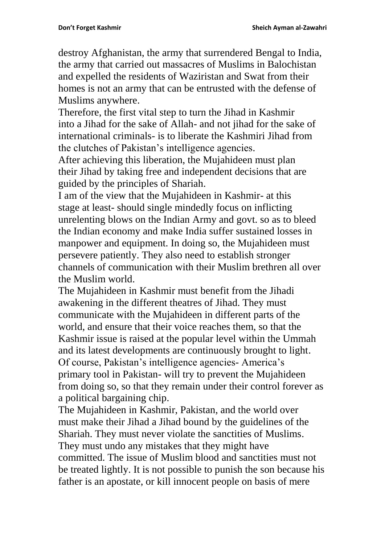destroy Afghanistan, the army that surrendered Bengal to India, the army that carried out massacres of Muslims in Balochistan and expelled the residents of Waziristan and Swat from their homes is not an army that can be entrusted with the defense of Muslims anywhere.

Therefore, the first vital step to turn the Jihad in Kashmir into a Jihad for the sake of Allah- and not jihad for the sake of international criminals- is to liberate the Kashmiri Jihad from the clutches of Pakistan's intelligence agencies.

After achieving this liberation, the Mujahideen must plan their Jihad by taking free and independent decisions that are guided by the principles of Shariah.

I am of the view that the Mujahideen in Kashmir- at this stage at least- should single mindedly focus on inflicting unrelenting blows on the Indian Army and govt. so as to bleed the Indian economy and make India suffer sustained losses in manpower and equipment. In doing so, the Mujahideen must persevere patiently. They also need to establish stronger channels of communication with their Muslim brethren all over the Muslim world.

The Mujahideen in Kashmir must benefit from the Jihadi awakening in the different theatres of Jihad. They must communicate with the Mujahideen in different parts of the world, and ensure that their voice reaches them, so that the Kashmir issue is raised at the popular level within the Ummah and its latest developments are continuously brought to light. Of course, Pakistan's intelligence agencies- America's primary tool in Pakistan- will try to prevent the Mujahideen from doing so, so that they remain under their control forever as a political bargaining chip.

The Mujahideen in Kashmir, Pakistan, and the world over must make their Jihad a Jihad bound by the guidelines of the Shariah. They must never violate the sanctities of Muslims. They must undo any mistakes that they might have committed. The issue of Muslim blood and sanctities must not be treated lightly. It is not possible to punish the son because his father is an apostate, or kill innocent people on basis of mere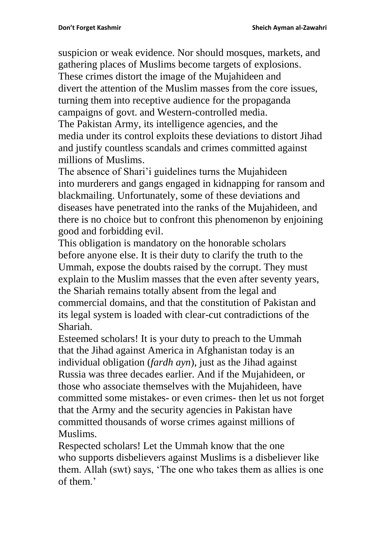suspicion or weak evidence. Nor should mosques, markets, and gathering places of Muslims become targets of explosions. These crimes distort the image of the Mujahideen and divert the attention of the Muslim masses from the core issues, turning them into receptive audience for the propaganda

campaigns of govt. and Western-controlled media.

The Pakistan Army, its intelligence agencies, and the media under its control exploits these deviations to distort Jihad and justify countless scandals and crimes committed against millions of Muslims.

The absence of Shari'i guidelines turns the Mujahideen into murderers and gangs engaged in kidnapping for ransom and blackmailing. Unfortunately, some of these deviations and diseases have penetrated into the ranks of the Mujahideen, and there is no choice but to confront this phenomenon by enjoining good and forbidding evil.

This obligation is mandatory on the honorable scholars before anyone else. It is their duty to clarify the truth to the Ummah, expose the doubts raised by the corrupt. They must explain to the Muslim masses that the even after seventy years, the Shariah remains totally absent from the legal and commercial domains, and that the constitution of Pakistan and its legal system is loaded with clear-cut contradictions of the Shariah.

Esteemed scholars! It is your duty to preach to the Ummah that the Jihad against America in Afghanistan today is an individual obligation (*fardh ayn*), just as the Jihad against Russia was three decades earlier. And if the Mujahideen, or those who associate themselves with the Mujahideen, have committed some mistakes- or even crimes- then let us not forget that the Army and the security agencies in Pakistan have committed thousands of worse crimes against millions of Muslims.

Respected scholars! Let the Ummah know that the one who supports disbelievers against Muslims is a disbeliever like them. Allah (swt) says, 'The one who takes them as allies is one of them.'